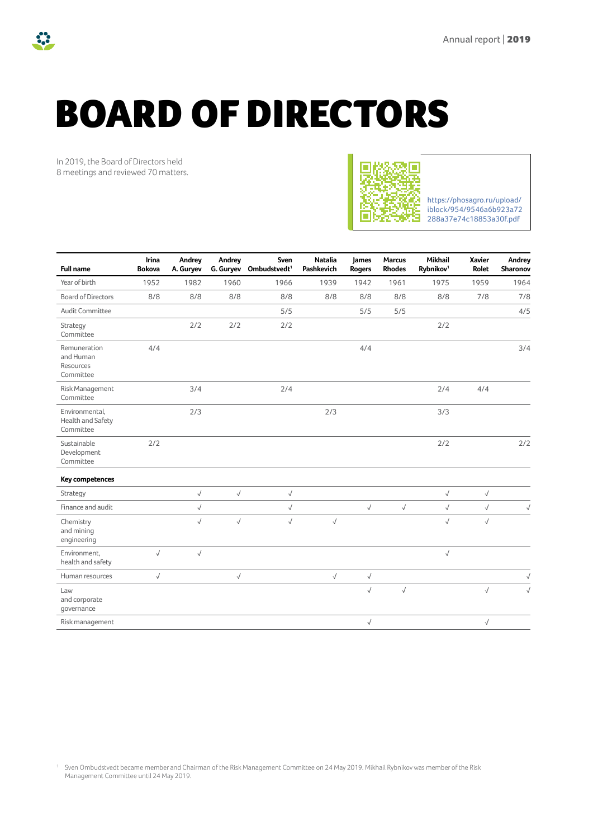# BOARD OF DIRECTORS

In 2019, the Board of Directors held 8 meetings and reviewed 70 matters.



https://phosagro.ru/upload/ [iblock/954/9546a6b923a72](https://phosagro.ru/upload/iblock/954/9546a6b923a72288a37e74c18853a30f.pdf) 288a37e74c18853a30f.pdf

| <b>Full name</b>                                    | Irina<br><b>Bokova</b> | Andrey<br>A. Guryev | Andrey    | Sven<br>G. Guryev Ombudstvedt <sup>1</sup> | <b>Natalia</b><br><b>Pashkevich</b> | James<br><b>Rogers</b> | <b>Marcus</b><br><b>Rhodes</b> | <b>Mikhail</b><br>Rybnikov <sup>1</sup> | <b>Xavier</b><br><b>Rolet</b> | Andrey<br>Sharonov |
|-----------------------------------------------------|------------------------|---------------------|-----------|--------------------------------------------|-------------------------------------|------------------------|--------------------------------|-----------------------------------------|-------------------------------|--------------------|
| Year of birth                                       | 1952                   | 1982                | 1960      | 1966                                       | 1939                                | 1942                   | 1961                           | 1975                                    | 1959                          | 1964               |
| <b>Board of Directors</b>                           | 8/8                    | 8/8                 | 8/8       | 8/8                                        | 8/8                                 | 8/8                    | 8/8                            | 8/8                                     | 7/8                           | 7/8                |
| Audit Committee                                     |                        |                     |           | 5/5                                        |                                     | 5/5                    | 5/5                            |                                         |                               | 4/5                |
| Strategy<br>Committee                               |                        | 2/2                 | 2/2       | 2/2                                        |                                     |                        |                                | 2/2                                     |                               |                    |
| Remuneration<br>and Human<br>Resources<br>Committee | 4/4                    |                     |           |                                            |                                     | 4/4                    |                                |                                         |                               | 3/4                |
| Risk Management<br>Committee                        |                        | 3/4                 |           | 2/4                                        |                                     |                        |                                | 2/4                                     | 4/4                           |                    |
| Environmental,<br>Health and Safety<br>Committee    |                        | 2/3                 |           |                                            | 2/3                                 |                        |                                | 3/3                                     |                               |                    |
| Sustainable<br>Development<br>Committee             | 2/2                    |                     |           |                                            |                                     |                        |                                | 2/2                                     |                               | 2/2                |
| Key competences                                     |                        |                     |           |                                            |                                     |                        |                                |                                         |                               |                    |
| Strategy                                            |                        | $\sqrt{ }$          | $\sqrt{}$ | $\sqrt{}$                                  |                                     |                        |                                | $\sqrt{ }$                              | $\sqrt{}$                     |                    |
| Finance and audit                                   |                        | $\sqrt{}$           |           | $\sqrt{}$                                  |                                     | $\sqrt{ }$             | $\sqrt{ }$                     | $\sqrt{}$                               | $\sqrt{}$                     | $\sqrt{}$          |
| Chemistry<br>and mining<br>engineering              |                        | $\sqrt{}$           | $\sqrt{}$ | $\sqrt{}$                                  | $\sqrt{}$                           |                        |                                | $\sqrt{ }$                              | $\sqrt{}$                     |                    |
| Environment,<br>health and safety                   | $\sqrt{}$              | $\sqrt{}$           |           |                                            |                                     |                        |                                | $\sqrt{}$                               |                               |                    |
| Human resources                                     | $\sqrt{}$              |                     | $\sqrt{}$ |                                            | $\sqrt{}$                           | $\sqrt{ }$             |                                |                                         |                               | $\sqrt{}$          |
| Law<br>and corporate<br>governance                  |                        |                     |           |                                            |                                     | $\sqrt{}$              | $\sqrt{ }$                     |                                         | $\sqrt{ }$                    |                    |
| Risk management                                     |                        |                     |           |                                            |                                     | $\sqrt{}$              |                                |                                         | $\sqrt{}$                     |                    |

<span id="page-0-0"></span><sup>1</sup> Sven Ombudstvedt became member and Chairman of the Risk Management Committee on 24 May 2019. Mikhail Rybnikov was member of the Risk Management Committee until 24 May 2019.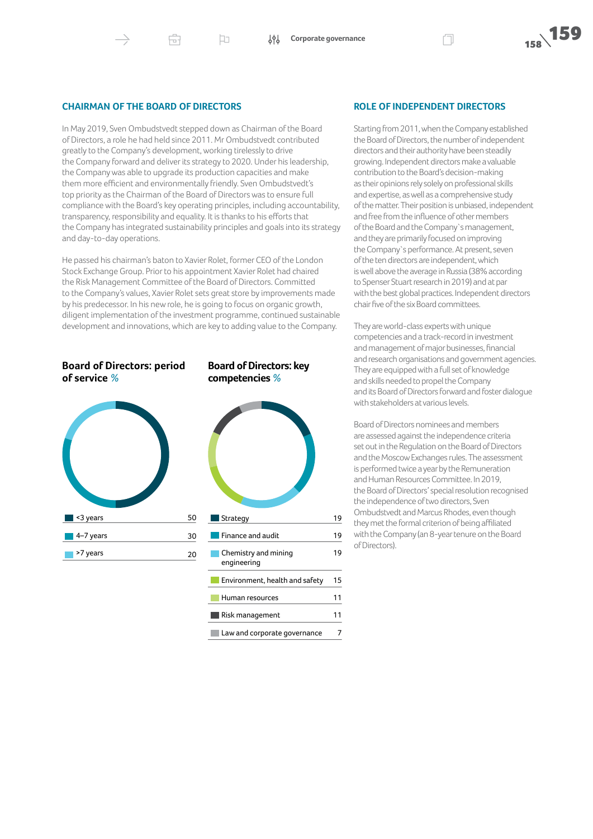#### **CHAIRMAN OF THE BOARD OF DIRECTORS**

虛

In May 2019, Sven Ombudstvedt stepped down as Chairman of the Board of Directors, a role he had held since 2011. Mr Ombudstvedt contributed greatly to the Company's development, working tirelessly to drive the Company forward and deliver its strategy to 2020. Under his leadership, the Company was able to upgrade its production capacities and make them more efficient and environmentally friendly. Sven Ombudstvedt's top priority as the Chairman of the Board of Directors was to ensure full compliance with the Board's key operating principles, including accountability, transparency, responsibility and equality. It is thanks to his efforts that the Company has integrated sustainability principles and goals into its strategy and day-to-day operations.

 $\Box$ 

He passed his chairman's baton to Xavier Rolet, former CEO of the London Stock Exchange Group. Prior to his appointment Xavier Rolet had chaired the Risk Management Committee of the Board of Directors. Committed to the Company's values, Xavier Rolet sets great store by improvements made by his predecessor. In his new role, he is going to focus on organic growth, diligent implementation of the investment programme, continued sustainable development and innovations, which are key to adding value to the Company.



**Board of Directors: period** 

**of service** *%*

## **Board of Directors: key competencies** *%*



#### **ROLE OF INDEPENDENT DIRECTORS**

Starting from 2011, when the Company established the Board of Directors, the number of independent directors and their authority have been steadily growing. Independent directors make a valuable contribution to the Board's decision-making as their opinions rely solely on professional skills and expertise, as well as a comprehensive study of the matter. Their position is unbiased, independent and free from the influence of other members of the Board and the Company`s management, and they are primarily focused on improving the Company's performance. At present, seven of the ten directors are independent, which is well above the average in Russia (38% according to Spenser Stuart research in 2019) and at par with the best global practices. Independent directors chair five of the six Board committees.

They are world-class experts with unique competencies and a track-record in investment and management of major businesses, financial and research organisations and government agencies. They are equipped with a full set of knowledge and skills needed to propel the Company and its Board of Directors forward and foster dialogue with stakeholders at various levels.

Board of Directors nominees and members are assessed against the independence criteria set out in the Regulation on the Board of Directors and the Moscow Exchanges rules.The assessment is performed twice a year by the Remuneration and Human Resources Committee. In 2019, the Board of Directors' special resolution recognised the independence of two directors, Sven Ombudstvedt and Marcus Rhodes, even though they met the formal criterion of being affiliated with the Company (an 8-year tenure on the Board of Directors).

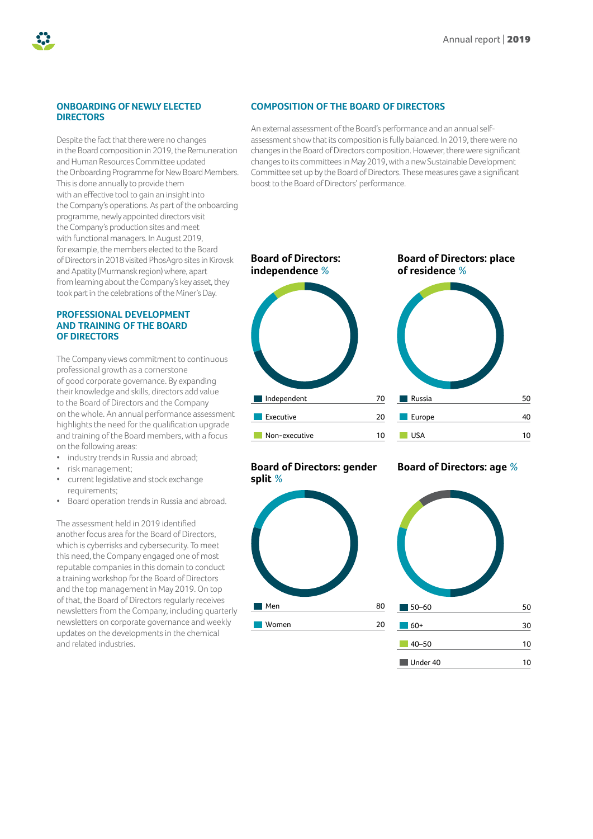#### **ONBOARDING OF NEWLY ELECTED DIRECTORS**

Despite the fact that there were no changes in the Board composition in 2019, the Remuneration and Human Resources Committee updated the Onboarding Programme for New Board Members. This is done annually to provide them with an effective tool to gain an insight into the Company's operations. As part of the onboarding programme, newly appointed directors visit the Company's production sites and meet with functional managers. In August 2019, for example, the members elected to the Board of Directors in 2018 visited PhosAgro sites in Kirovsk and Apatity (Murmansk region) where, apart from learning about the Company's key asset, they took part in the celebrations of the Miner's Day.

#### **PROFESSIONAL DEVELOPMENT AND TRAINING OF THE BOARD OF DIRECTORS**

The Company views commitment to continuous professional growth as a cornerstone of good corporate governance. By expanding their knowledge and skills, directors add value to the Board of Directors and the Company on the whole. An annual performance assessment highlights the need for the qualification upgrade and training of the Board members, with a focus on the following areas:

- industry trends in Russia and abroad;
- risk management;
- current legislative and stock exchange requirements;
- Board operation trends in Russia and abroad.

The assessment held in 2019 identified another focus area for the Board of Directors, which is cyberrisks and cybersecurity. To meet this need, the Company engaged one of most reputable companies in this domain to conduct a training workshop for the Board of Directors and the top management in May 2019. On top of that, the Board of Directors regularly receives newsletters from the Company, including quarterly newsletters on corporate governance and weekly updates on the developments in the chemical and related industries.

#### **COMPOSITION OF THE BOARD OF DIRECTORS**

An external assessment of the Board's performance and an annual selfassessment show that its composition is fully balanced. In 2019, there were no changes in the Board of Directors composition. However, there were significant changes to its committees in May 2019, with a new Sustainable Development Committee set up by the Board of Directors. These measures gave a significant boost to the Board of Directors' performance.



### **Board of Directors: gender split** *%*



## 50 40 10

#### **Board of Directors: age** *%*



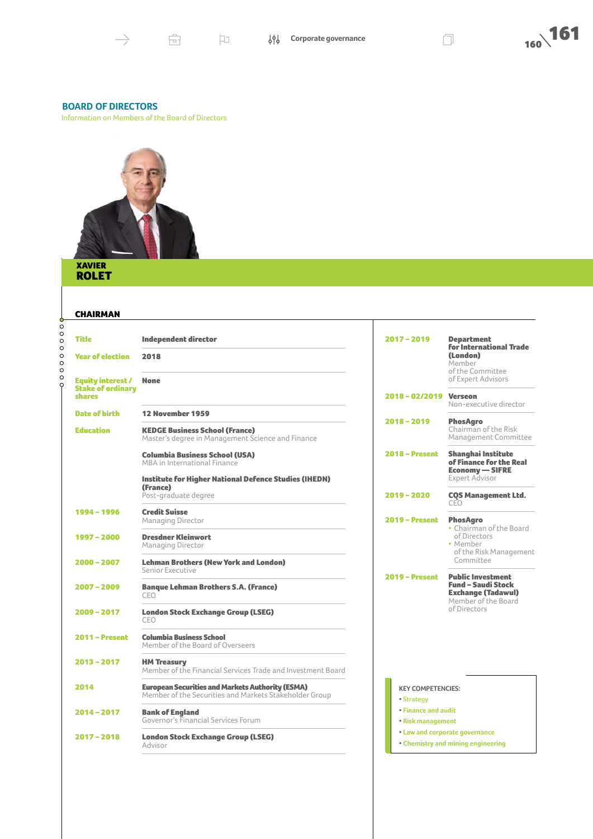#### **BOARD OF DIRECTORS**

Information on Members of the Board of Directors



#### XAVIER ROLET **RO**

#### CHAIRMAN

| Ò                                        | СПАІКМАК                                                       |                                                                                                                   |                                                 |                                                                                                           |
|------------------------------------------|----------------------------------------------------------------|-------------------------------------------------------------------------------------------------------------------|-------------------------------------------------|-----------------------------------------------------------------------------------------------------------|
| $\circ$<br>$\circ$<br>$\circ$<br>$\circ$ | <b>Title</b>                                                   | <b>Independent director</b>                                                                                       | $2017 - 2019$                                   | <b>Department</b><br><b>for International Trade</b>                                                       |
| $\circ$<br>$\circ$<br>$\circ$<br>$\circ$ | <b>Year of election</b>                                        | 2018                                                                                                              |                                                 | (London)<br>Member<br>of the Committee                                                                    |
| $\circ$                                  | Equity interest /<br><b>Stake of ordinary</b><br><b>shares</b> | <b>None</b>                                                                                                       | $2018 - 02/2019$                                | of Expert Advisors<br><b>Verseon</b><br>Non-executive director                                            |
|                                          | <b>Date of birth</b>                                           | 12 November 1959                                                                                                  |                                                 |                                                                                                           |
|                                          | <b>Education</b>                                               | <b>KEDGE Business School (France)</b><br>Master's degree in Management Science and Finance                        | $2018 - 2019$                                   | <b>PhosAgro</b><br>Chairman of the Risk<br>Management Committee                                           |
|                                          |                                                                | <b>Columbia Business School (USA)</b><br>MBA in International Finance                                             | $2018 - Present$                                | <b>Shanghai Institute</b><br>of Finance for the Real<br><b>Economy - SIFRE</b>                            |
|                                          |                                                                | <b>Institute for Higher National Defence Studies (IHEDN)</b><br>(France)                                          |                                                 | <b>Expert Advisor</b>                                                                                     |
|                                          |                                                                | Post-graduate degree                                                                                              | $2019 - 2020$                                   | <b>COS Management Ltd.</b><br>CEO                                                                         |
|                                          | 1994 - 1996                                                    | <b>Credit Suisse</b><br>Managing Director                                                                         | $2019 -$ Present                                | <b>PhosAgro</b><br>• Chairman of the Board                                                                |
|                                          | $1997 - 2000$                                                  | <b>Dresdner Kleinwort</b><br><b>Managing Director</b>                                                             |                                                 | of Directors<br>• Member<br>of the Risk Management                                                        |
|                                          | $2000 - 2007$                                                  | <b>Lehman Brothers (New York and London)</b><br>Senior Executive                                                  |                                                 | Committee                                                                                                 |
|                                          | $2007 - 2009$                                                  | <b>Banque Lehman Brothers S.A. (France)</b><br>CFO                                                                | $2019 -$ Present                                | <b>Public Investment</b><br><b>Fund - Saudi Stock</b><br><b>Exchange (Tadawul)</b><br>Member of the Board |
|                                          | $2009 - 2017$                                                  | <b>London Stock Exchange Group (LSEG)</b><br>CEO                                                                  |                                                 | of Directors                                                                                              |
|                                          | $2011 -$ Present                                               | <b>Columbia Business School</b><br>Member of the Board of Overseers                                               |                                                 |                                                                                                           |
|                                          | $2013 - 2017$                                                  | <b>HM Treasury</b><br>Member of the Financial Services Trade and Investment Board                                 |                                                 |                                                                                                           |
|                                          | 2014                                                           | <b>European Securities and Markets Authority (ESMA)</b><br>Member of the Securities and Markets Stakeholder Group | <b>KEY COMPETENCIES:</b><br>• Strategy          |                                                                                                           |
|                                          | $2014 - 2017$                                                  | <b>Bank of England</b><br>Governor's Financial Services Forum                                                     | <b>• Finance and audit</b><br>• Risk management |                                                                                                           |
|                                          | $2017 - 2018$                                                  | <b>London Stock Exchange Group (LSEG)</b><br>Advisor                                                              |                                                 | • Law and corporate governance<br>• Chemistry and mining engineering                                      |
|                                          |                                                                |                                                                                                                   |                                                 |                                                                                                           |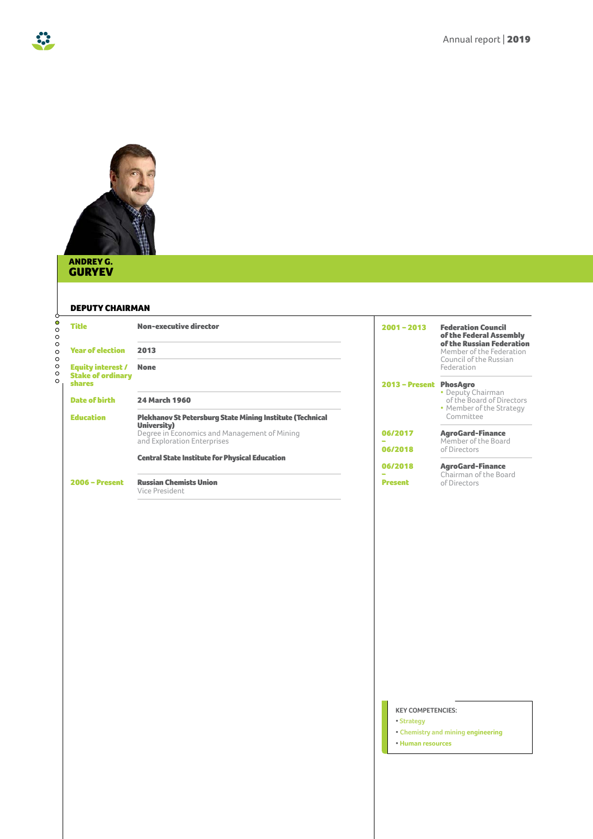

#### ANDREY G. GURYEV

33

#### DEPUTY CHAIRMAN

| 9<br>$\circ$<br>$\circ$       | <b>Title</b>                       | <b>Non-executive director</b>                                                          | $2001 - 2013$                          | <b>Federation Council</b>                                                        |
|-------------------------------|------------------------------------|----------------------------------------------------------------------------------------|----------------------------------------|----------------------------------------------------------------------------------|
| $\circ$<br>$\circ$<br>$\circ$ | <b>Year of election</b>            | 2013                                                                                   |                                        | of the Federal Assembly<br>of the Russian Federation<br>Member of the Federation |
| $\circ$<br>$\circ$            | <b>Equity interest /</b>           | <b>None</b>                                                                            |                                        | Council of the Russian<br>Federation                                             |
| $\circ$<br>$\circ$            | <b>Stake of ordinary</b><br>shares |                                                                                        | 2013 - Present PhosAgro                |                                                                                  |
|                               | <b>Date of birth</b>               | <b>24 March 1960</b>                                                                   |                                        | • Deputy Chairman<br>of the Board of Directors<br>• Member of the Strategy       |
|                               | <b>Education</b>                   | <b>Plekhanov St Petersburg State Mining Institute (Technical</b><br><b>University)</b> |                                        | Committee                                                                        |
|                               |                                    | Degree in Economics and Management of Mining<br>and Exploration Enterprises            | 06/2017<br>06/2018                     | <b>AgroGard-Finance</b><br>Member of the Board<br>of Directors                   |
|                               |                                    | <b>Central State Institute for Physical Education</b>                                  | 06/2018                                | <b>AgroGard-Finance</b>                                                          |
|                               | $2006 - Present$                   | <b>Russian Chemists Union</b><br>Vice President                                        | <b>Present</b>                         | Chairman of the Board<br>of Directors                                            |
|                               |                                    |                                                                                        |                                        |                                                                                  |
|                               |                                    |                                                                                        |                                        |                                                                                  |
|                               |                                    |                                                                                        |                                        |                                                                                  |
|                               |                                    |                                                                                        |                                        |                                                                                  |
|                               |                                    |                                                                                        |                                        |                                                                                  |
|                               |                                    |                                                                                        |                                        |                                                                                  |
|                               |                                    |                                                                                        |                                        |                                                                                  |
|                               |                                    |                                                                                        |                                        |                                                                                  |
|                               |                                    |                                                                                        |                                        |                                                                                  |
|                               |                                    |                                                                                        |                                        |                                                                                  |
|                               |                                    |                                                                                        |                                        |                                                                                  |
|                               |                                    |                                                                                        | <b>KEY COMPETENCIES:</b><br>• Strategy |                                                                                  |
|                               |                                    |                                                                                        | • Human resources                      | • Chemistry and mining engineering                                               |
|                               |                                    |                                                                                        |                                        |                                                                                  |
|                               |                                    |                                                                                        |                                        |                                                                                  |
|                               |                                    |                                                                                        |                                        |                                                                                  |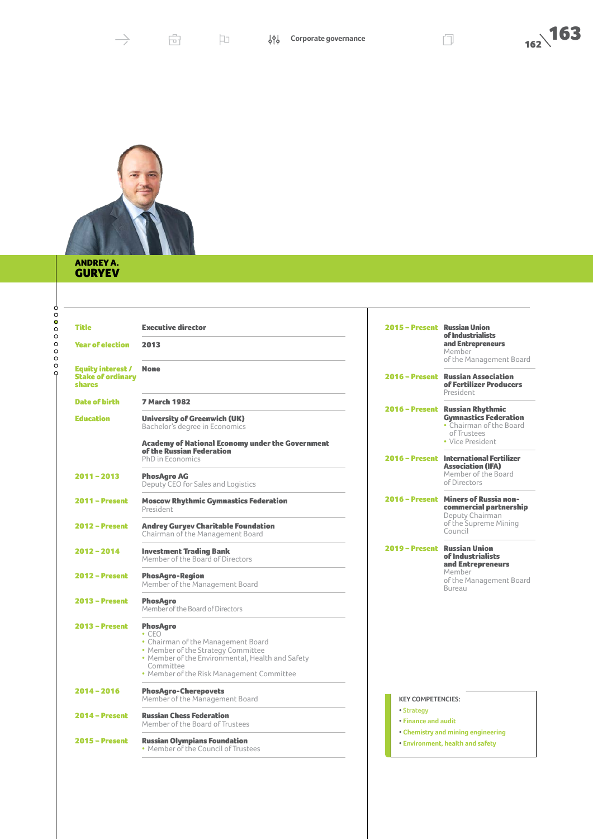



#### ANDREY A. GURYEV

-000000000-

| <b>Title</b>                                                          | <b>Executive director</b>                                                                                                                                                                                                | 2015 – Present Russian Union      | of Industrialists                                                                                         |
|-----------------------------------------------------------------------|--------------------------------------------------------------------------------------------------------------------------------------------------------------------------------------------------------------------------|-----------------------------------|-----------------------------------------------------------------------------------------------------------|
| <b>Year of election</b>                                               | 2013                                                                                                                                                                                                                     |                                   | and Entrepreneurs<br>Member<br>of the Management Board                                                    |
| <b>Equity interest /</b><br><b>Stake of ordinary</b><br><b>shares</b> | <b>None</b>                                                                                                                                                                                                              |                                   | 2016 - Present Russian Association<br>of Fertilizer Producers<br>President                                |
| <b>Date of birth</b>                                                  | <b>7 March 1982</b>                                                                                                                                                                                                      |                                   |                                                                                                           |
| <b>Education</b>                                                      | <b>University of Greenwich (UK)</b><br>Bachelor's degree in Economics                                                                                                                                                    |                                   | 2016 - Present Russian Rhythmic<br><b>Gymnastics Federation</b><br>• Chairman of the Board<br>of Trustees |
|                                                                       | <b>Academy of National Economy under the Government</b><br>of the Russian Federation<br>PhD in Economics                                                                                                                 |                                   | • Vice President<br>2016 - Present International Fertilizer                                               |
| $2011 - 2013$                                                         | <b>PhosAgro AG</b><br>Deputy CEO for Sales and Logistics                                                                                                                                                                 |                                   | <b>Association (IFA)</b><br>Member of the Board<br>of Directors                                           |
| $2011 -$ Present                                                      | <b>Moscow Rhythmic Gymnastics Federation</b><br>President                                                                                                                                                                |                                   | 2016 - Present Miners of Russia non-<br>commercial partnership<br>Deputy Chairman                         |
| <b>2012 - Present</b>                                                 | <b>Andrey Guryev Charitable Foundation</b><br>Chairman of the Management Board                                                                                                                                           |                                   | of the Supreme Mining<br>Council                                                                          |
| $2012 - 2014$                                                         | <b>Investment Trading Bank</b><br>Member of the Board of Directors                                                                                                                                                       | 2019 - Present Russian Union      | of Industrialists<br>and Entrepreneurs                                                                    |
| $2012 - Present$                                                      | <b>PhosAgro-Region</b><br>Member of the Management Board                                                                                                                                                                 |                                   | Member<br>of the Management Board<br>Bureau                                                               |
| $2013 - Present$                                                      | <b>PhosAaro</b><br>Member of the Board of Directors                                                                                                                                                                      |                                   |                                                                                                           |
| $2013 - Present$                                                      | <b>PhosAgro</b><br>$\cdot$ CFO<br>• Chairman of the Management Board<br>• Member of the Strategy Committee<br>• Member of the Environmental, Health and Safety<br>Committee<br>• Member of the Risk Management Committee |                                   |                                                                                                           |
| $2014 - 2016$                                                         | <b>PhosAgro-Cherepovets</b><br>Member of the Management Board                                                                                                                                                            | <b>KEY COMPETENCIES:</b>          |                                                                                                           |
| $2014 - Present$                                                      | <b>Russian Chess Federation</b><br>Member of the Board of Trustees                                                                                                                                                       | • Strategy<br>• Finance and audit |                                                                                                           |
| $2015 -$ Present                                                      | <b>Russian Olympians Foundation</b><br>• Member of the Council of Trustees                                                                                                                                               |                                   | • Chemistry and mining engineering<br>• Environment, health and safety                                    |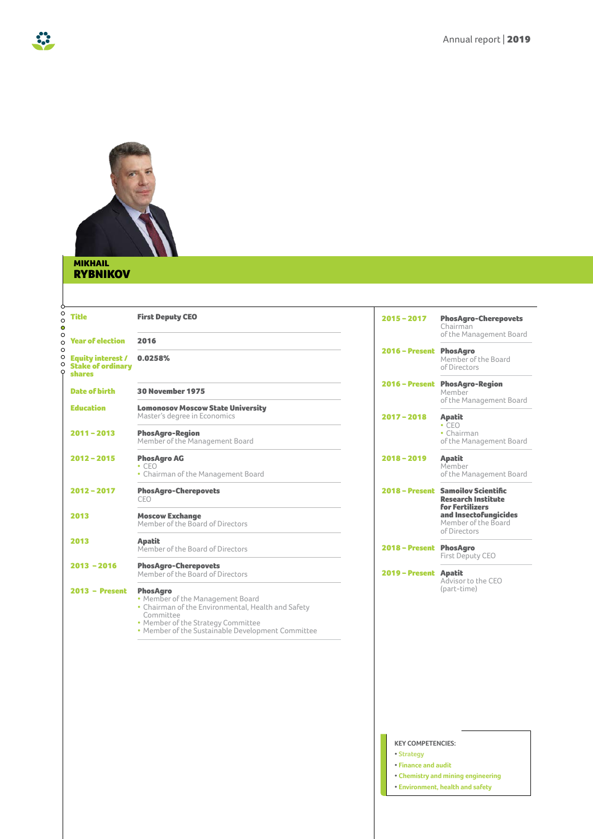

#### MIKHAIL RYBNIKOV

| <b>Title</b>                                                          | <b>First Deputy CEO</b>                                                                                                                                                                                           | $2015 - 2017$           | <b>PhosAgro-Cherepovets</b><br>Chairman<br>of the Management Board                        |
|-----------------------------------------------------------------------|-------------------------------------------------------------------------------------------------------------------------------------------------------------------------------------------------------------------|-------------------------|-------------------------------------------------------------------------------------------|
| <b>Year of election</b>                                               | 2016                                                                                                                                                                                                              |                         |                                                                                           |
| <b>Equity interest /</b><br><b>Stake of ordinary</b><br><b>shares</b> | 0.0258%                                                                                                                                                                                                           | $2016 - Present$        | <b>PhosAgro</b><br>Member of the Board<br>of Directors                                    |
| <b>Date of birth</b>                                                  | <b>30 November 1975</b>                                                                                                                                                                                           |                         | 2016 - Present PhosAgro-Region<br>Member<br>of the Management Board                       |
| <b>Education</b>                                                      | <b>Lomonosov Moscow State University</b><br>Master's degree in Economics                                                                                                                                          | $2017 - 2018$           | <b>Apatit</b>                                                                             |
| $2011 - 2013$                                                         | <b>PhosAgro-Region</b><br>Member of the Management Board                                                                                                                                                          |                         | $\cdot$ CFO<br>• Chairman<br>of the Management Board                                      |
| $2012 - 2015$                                                         | <b>PhosAgro AG</b><br>$\cdot$ CEO<br>• Chairman of the Management Board                                                                                                                                           | $2018 - 2019$           | <b>Apatit</b><br>Member<br>of the Management Board                                        |
| $2012 - 2017$                                                         | <b>PhosAgro-Cherepovets</b><br>CEO                                                                                                                                                                                |                         | 2018 - Present Samoilov Scientific<br><b>Research Institute</b><br><b>for Fertilizers</b> |
| 2013                                                                  | <b>Moscow Exchange</b><br>Member of the Board of Directors                                                                                                                                                        |                         | and Insectofungicides<br>Member of the Board<br>of Directors                              |
| 2013                                                                  | <b>Apatit</b><br>Member of the Board of Directors                                                                                                                                                                 | 2018 - Present PhosAgro | First Deputy CEO                                                                          |
| $2013 - 2016$                                                         | <b>PhosAgro-Cherepovets</b><br>Member of the Board of Directors                                                                                                                                                   | 2019 - Present Apatit   | Advisor to the CEO                                                                        |
| $2013 - Present$                                                      | <b>PhosAgro</b><br>• Member of the Management Board<br>• Chairman of the Environmental, Health and Safety<br>Committee<br>• Member of the Strategy Committee<br>• Member of the Sustainable Development Committee |                         | (part-time)                                                                               |

#### **KEY COMPETENCIES:**

- **• Strategy**
- **• Finance and audit**
- **• Chemistry and mining engineering**
- **• Environment, health and safety**

33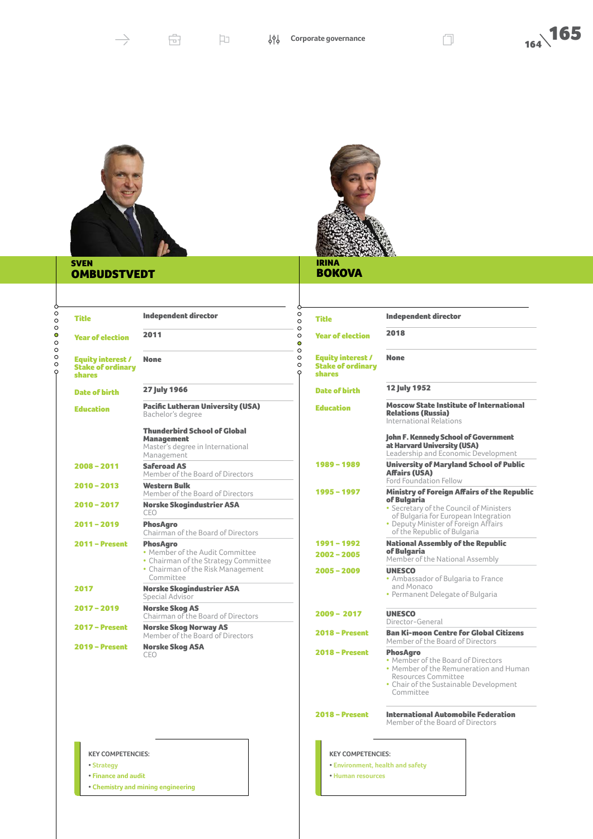



 $\rightarrow$ 

**• Human resources**

#### IRINA **BOKOVA**

#### SVEN **OMBUDSTVEDT**

 $0000000000$ 

 $\varphi$ 

| Title                                                                 | <b>Independent director</b>                                                                                                                  | O<br><b>Title</b><br>$\circ$                                                              |
|-----------------------------------------------------------------------|----------------------------------------------------------------------------------------------------------------------------------------------|-------------------------------------------------------------------------------------------|
| <b>Year of election</b>                                               | 2011                                                                                                                                         | O<br>O<br><b>Year of election</b><br>Ō                                                    |
| <b>Equity interest /</b><br><b>Stake of ordinary</b><br><b>shares</b> | <b>None</b>                                                                                                                                  | O<br>$\circ$<br><b>Equity interest /</b><br>O<br><b>Stake of ordinar</b><br><b>shares</b> |
| <b>Date of birth</b>                                                  | <b>27 July 1966</b>                                                                                                                          | <b>Date of birth</b>                                                                      |
| <b>Education</b>                                                      | <b>Pacific Lutheran University (USA)</b><br>Bachelor's degree                                                                                | <b>Education</b>                                                                          |
|                                                                       | <b>Thunderbird School of Global</b><br><b>Management</b><br>Master's degree in International<br>Management                                   |                                                                                           |
| $2008 - 2011$                                                         | <b>Saferoad AS</b><br>Member of the Board of Directors                                                                                       | 1989 - 1989                                                                               |
| $2010 - 2013$                                                         | <b>Western Bulk</b><br>Member of the Board of Directors                                                                                      | 1995 - 1997                                                                               |
| 2010 - 2017                                                           | <b>Norske Skogindustrier ASA</b><br>CEO                                                                                                      |                                                                                           |
| $2011 - 2019$                                                         | <b>PhosAgro</b><br>Chairman of the Board of Directors                                                                                        |                                                                                           |
| <b>2011 - Present</b>                                                 | <b>PhosAgro</b><br>• Member of the Audit Committee<br>• Chairman of the Strategy Committee<br>• Chairman of the Risk Management<br>Committee | 1991-1992<br>$2002 - 2005$<br>$2005 - 2009$                                               |
| 2017                                                                  | <b>Norske Skogindustrier ASA</b><br>Special Advisor                                                                                          |                                                                                           |
| $2017 - 2019$                                                         | <b>Norske Skog AS</b><br>Chairman of the Board of Directors                                                                                  | $2009 - 2017$                                                                             |
| <b>2017 - Present</b>                                                 | <b>Norske Skog Norway AS</b><br>Member of the Board of Directors                                                                             | <b>2018 – Present</b>                                                                     |
| <b>2019 - Present</b>                                                 | <b>Norske Skog ASA</b><br>CEO                                                                                                                | <b>2018 - Present</b>                                                                     |

| <b>ETENCIES:</b> |  |  |
|------------------|--|--|

**KEY COMP** 

**• Strategy • Finance and audit**

**• Chemistry and mining engineering**

Independent director **2018** ry None 12 July 1952 **Moscow State Institute of International** Relations (Russia) International Relations John F. Kennedy School of Government at Harvard University (USA) Leadership and Economic Development 1989 – 1989 University of Maryland School of Public Affairs (USA) Ford Foundation Fellow **Ministry of Foreign Affairs of the Republic** of Bulgaria • Secretary of the Council of Ministers of Bulgaria for European Integration • Deputy Minister of Foreign Affairs of the Republic of Bulgaria **National Assembly of the Republic 2002 – 2005 FBulgaria**<br>Member of the National Assembly **UNESCO** • Ambassador of Bulgaria to France and Monaco • Permanent Delegate of Bulgaria **UNESCO** Director-General Ban Ki-moon Centre for Global Citizens Member of the Board of Directors PhosAgro • Member of the Board of Directors • Member of the Remuneration and Human Resources Committee • Chair of the Sustainable Development Committee 2018 – Present International Automobile Federation Member of the Board of Directors **KEY COMPETENCIES: • Environment, health and safety**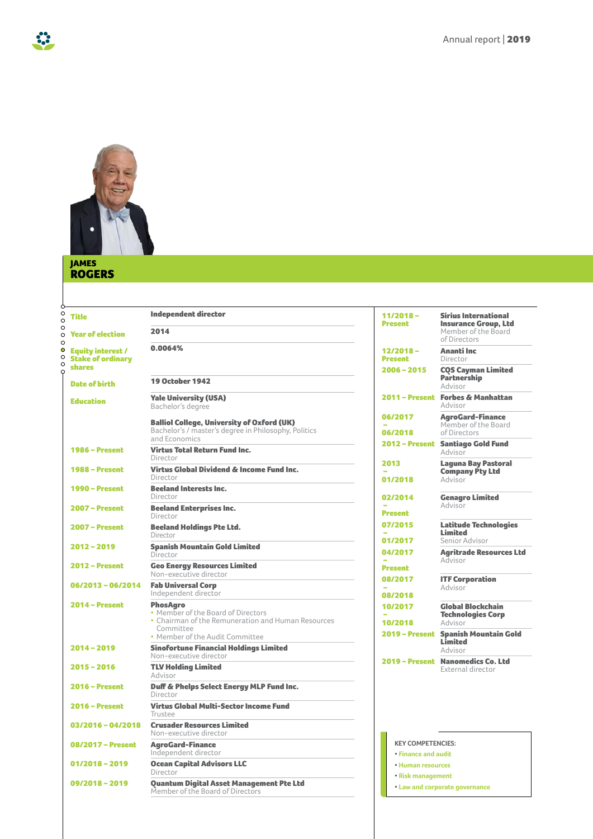

#### JAMES ROGERS

 $\varphi$ 

 $\ddot{\phantom{a}}$ 

Independent director

0.0064%

Year of election 2014

Equity interest / Stake of ordinary shares

| <b>Date of birth</b>  | <b>19 October 1942</b>                                                                                                                                      |
|-----------------------|-------------------------------------------------------------------------------------------------------------------------------------------------------------|
| <b>Education</b>      | <b>Yale University (USA)</b><br>Bachelor's degree                                                                                                           |
|                       | <b>Balliol College, University of Oxford (UK)</b><br>Bachelor's / master's degree in Philosophy, Politics<br>and Economics                                  |
| <b>1986 – Present</b> | <b>Virtus Total Return Fund Inc.</b><br>Director                                                                                                            |
| <b>1988 – Present</b> | <b>Virtus Global Dividend &amp; Income Fund Inc.</b><br>Director                                                                                            |
| <b>1990 – Present</b> | <b>Beeland Interests Inc.</b><br>Director                                                                                                                   |
| 2007 – Present        | <b>Beeland Enterprises Inc.</b><br>Director                                                                                                                 |
| <b>2007 - Present</b> | <b>Beeland Holdings Pte Ltd.</b><br>Director                                                                                                                |
| $2012 - 2019$         | <b>Spanish Mountain Gold Limited</b><br>Director                                                                                                            |
| <b>2012 - Present</b> | <b>Geo Energy Resources Limited</b><br>Non-executive director                                                                                               |
| 06/2013 - 06/2014     | <b>Fab Universal Corp</b><br>Independent director                                                                                                           |
| $2014 - Present$      | <b>PhosAgro</b><br>• Member of the Board of Directors<br>• Chairman of the Remuneration and Human Resources<br>Committee<br>• Member of the Audit Committee |
| $2014 - 2019$         | <b>Sinofortune Financial Holdings Limited</b><br>Non-executive director                                                                                     |
| $2015 - 2016$         | <b>TLV Holding Limited</b><br>Advisor                                                                                                                       |
| <b>2016 – Present</b> | Duff & Phelps Select Energy MLP Fund Inc.<br>Director                                                                                                       |
| <b>2016 - Present</b> | <b>Virtus Global Multi-Sector Income Fund</b><br>Trustee                                                                                                    |
| 03/2016 - 04/2018     | <b>Crusader Resources Limited</b><br>Non-executive director                                                                                                 |
| 08/2017 - Present     | <b>AgroGard-Finance</b><br>Independent director                                                                                                             |
| $01/2018 - 2019$      | <b>Ocean Capital Advisors LLC</b><br>Director                                                                                                               |
| 09/2018 - 2019        | <b>Ouantum Digital Asset Management Pte Ltd</b><br>Member of the Board of Directors                                                                         |

| 11/2018 -<br>Present      | <b>Sirius International</b><br><b>Insurance Group, Ltd</b><br>Member of the Board<br>of Directors |
|---------------------------|---------------------------------------------------------------------------------------------------|
| 12/2018 -<br>Present      | Ananti Inc<br>Director                                                                            |
| $2006 - 2015$             | <b>COS Cayman Limited</b><br><b>Partnership</b><br>Advisor                                        |
| 2011 – Present            | <b>Forbes &amp; Manhattan</b><br>Advisor                                                          |
| 06/2017                   | <b>AgroGard-Finance</b><br>Member of the Board                                                    |
| 06/2018                   | of Directors                                                                                      |
| 2012 – Present            | <b>Santiago Gold Fund</b><br>Advisor                                                              |
| 2013                      | Laguna Bay Pastoral                                                                               |
| 01/2018                   | <b>Company Pty Ltd</b><br>Advisor                                                                 |
| 02/2014                   | <b>Genagro Limited</b>                                                                            |
| Present                   | Advisor                                                                                           |
| 07/2015                   | <b>Latitude Technologies</b><br>Limited                                                           |
| 01/2017                   | Senior Advisor                                                                                    |
| 04/2017<br><b>Present</b> | <b>Agritrade Resources Ltd</b><br>Advisor                                                         |
| 08/2017                   | <b>ITF Corporation</b><br>Advisor                                                                 |
| 08/2018                   |                                                                                                   |
| 10/2017                   | <b>Global Blockchain</b><br><b>Technologies Corp</b>                                              |
| 10/2018                   | Advisor                                                                                           |
| <b>2019 - Present</b>     | <b>Spanish Mountain Gold</b><br>Limited<br>Advisor                                                |
| <b>2019 – Present</b>     | <b>Nanomedics Co. Ltd</b><br>External director                                                    |
|                           |                                                                                                   |

#### **KEY COMPETENCIES: • Finance and audit**

- **• Human resources**
- **• Risk management**
- **• Law and corporate governance**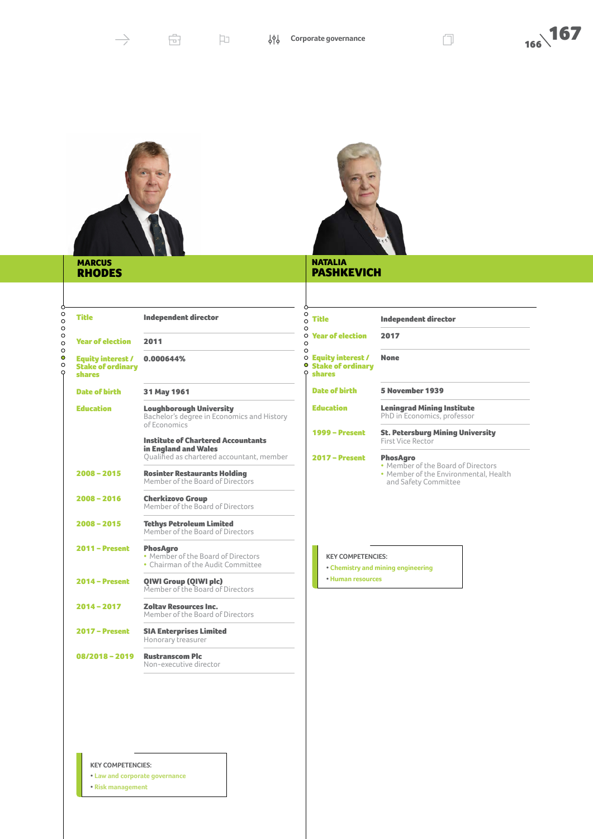



**PASHKEVICH** 

| ----------    |
|---------------|
| <b>RHODES</b> |
|               |

| Ô.                            |                                                                |                                                                                   |
|-------------------------------|----------------------------------------------------------------|-----------------------------------------------------------------------------------|
| $\circ$<br>$\circ$<br>$\circ$ | <b>Title</b>                                                   | <b>Independent director</b>                                                       |
| $\circ$<br>$\circ$<br>$\circ$ | <b>Year of election</b>                                        | 2011                                                                              |
| Ō<br>$\circ$<br>Q             | <b>Equity interest /</b><br><b>Stake of ordinary</b><br>shares | 0.000644%                                                                         |
|                               | <b>Date of birth</b>                                           | 31 May 1961                                                                       |
|                               | Education                                                      | <b>Loughborough Univer</b><br>Bachelor's degree in Ec<br>of Economics             |
|                               |                                                                | <b>Institute of Chartered</b><br>in England and Wales<br>Oualified as chartered a |
|                               | $2008 - 2015$                                                  | <b>Rosinter Restaurants</b><br>Member of the Board o                              |
|                               | $2008 - 2016$                                                  | <b>Cherkizovo Group</b><br>Member of the Board o                                  |
|                               | $2008 - 2015$                                                  | <b>Tethys Petroleum Lim</b><br>Member of the Board o                              |
|                               | 2011 – Present                                                 | PhosAaro                                                                          |

| Title                                                   | <b>Independent director</b>                                                                  |
|---------------------------------------------------------|----------------------------------------------------------------------------------------------|
| <b>Year of election</b>                                 | 2011                                                                                         |
| Equity interest /<br><b>Stake of ordinary</b><br>shares | 0.000644%                                                                                    |
| <b>Date of birth</b>                                    | 31 May 1961                                                                                  |
| <b>Education</b>                                        | <b>Loughborough University</b><br>Bachelor's degree in Economics and History<br>of Economics |
|                                                         | <b>Institute of Chartered Accountants</b><br>in England and Wales                            |
|                                                         | Oualified as chartered accountant, member                                                    |
| 2008-2015                                               | <b>Rosinter Restaurants Holding</b><br>Member of the Board of Directors                      |
| 2008-2016                                               | <b>Cherkizovo Group</b><br>Member of the Board of Directors                                  |
| 2008-2015                                               | <b>Tethys Petroleum Limited</b><br>Member of the Board of Directors                          |
| <b>2011 – Present</b>                                   | <b>PhosAaro</b><br>• Member of the Board of Directors<br>• Chairman of the Audit Committee   |
| <b>2014 - Present</b>                                   | QIWI Group (QIWI plc)<br>Member of the Board of Directors                                    |
| 2014 - 2017                                             | <b>Zoltav Resources Inc.</b><br>Member of the Board of Directors                             |
| <b>2017 – Present</b>                                   | <b>SIA Enterprises Limited</b><br>Honorary treasurer                                         |
| 08/2018 - 2019                                          | <b>Rustranscom Plc</b><br>Non-executive director                                             |

| <b>Title</b>                                                          | <b>Independent director</b>                                                                                            |  |  |
|-----------------------------------------------------------------------|------------------------------------------------------------------------------------------------------------------------|--|--|
| <b>Year of election</b>                                               | 2017                                                                                                                   |  |  |
| <b>Equity interest /</b><br><b>Stake of ordinary</b><br><b>shares</b> | <b>None</b>                                                                                                            |  |  |
| <b>Date of birth</b>                                                  | 5 November 1939                                                                                                        |  |  |
| <b>Education</b>                                                      | <b>Leningrad Mining Institute</b><br>PhD in Economics, professor                                                       |  |  |
| <b>1999 – Present</b>                                                 | <b>St. Petersburg Mining University</b><br>First Vice Rector                                                           |  |  |
| <b>2017 - Present</b>                                                 | <b>PhosAgro</b><br>• Member of the Board of Directors<br>• Member of the Environmental, Health<br>and Safety Committee |  |  |

#### **KEY COMPETENCIES:**

**• Chemistry and mining engineering**

**• Human resources**

#### **KEY COMPETENCIES:**

- **• Law and corporate governance**
- **• Risk management**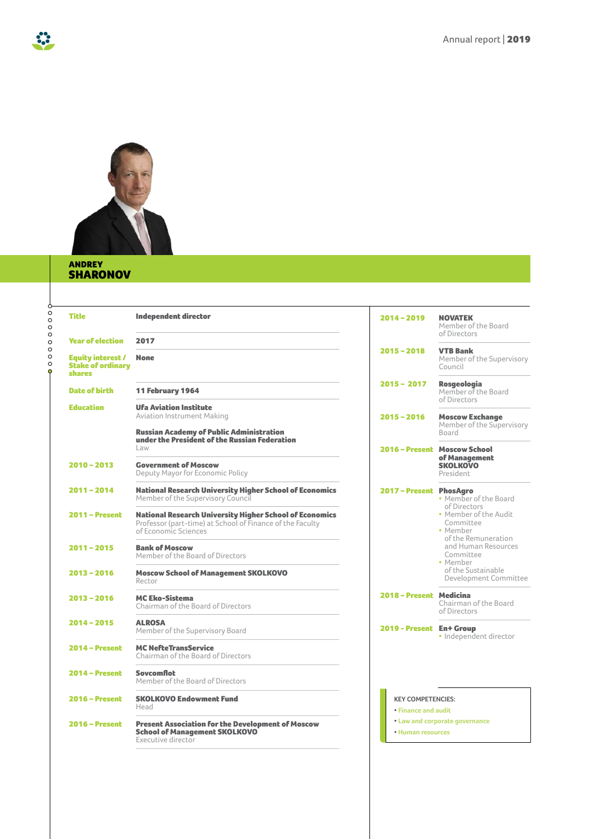

#### ANDREY SHARONOV

 $-00000000$ 

53

| <b>Title</b>                                                          | <b>Independent director</b>                                                                                                                         | $2014 - 2019$                                       | <b>NOVATEK</b><br>Member of the Board<br>of Directors                                                          |  |
|-----------------------------------------------------------------------|-----------------------------------------------------------------------------------------------------------------------------------------------------|-----------------------------------------------------|----------------------------------------------------------------------------------------------------------------|--|
| <b>Year of election</b>                                               | 2017                                                                                                                                                |                                                     |                                                                                                                |  |
| <b>Equity interest /</b><br><b>Stake of ordinary</b><br><b>shares</b> | <b>None</b>                                                                                                                                         | $2015 - 2018$                                       | <b>VTB Bank</b><br>Member of the Supervisory<br>Council                                                        |  |
| Date of birth                                                         | 11 February 1964                                                                                                                                    | $2015 - 2017$                                       | <b>Rosgeologia</b><br>Member of the Board<br>of Directors                                                      |  |
| <b>Education</b>                                                      | <b>Ufa Aviation Institute</b><br><b>Aviation Instrument Making</b>                                                                                  | $2015 - 2016$                                       | <b>Moscow Exchange</b>                                                                                         |  |
|                                                                       | <b>Russian Academy of Public Administration</b><br>under the President of the Russian Federation                                                    |                                                     | Member of the Supervisory<br>Board                                                                             |  |
|                                                                       | Law                                                                                                                                                 |                                                     | 2016 - Present Moscow School<br>of Management                                                                  |  |
| $2010 - 2013$                                                         | <b>Government of Moscow</b><br>Deputy Mayor for Economic Policy                                                                                     |                                                     | <b>SKOLKOVO</b><br>President                                                                                   |  |
| $2011 - 2014$                                                         | <b>National Research University Higher School of Economics</b><br>Member of the Supervisory Council                                                 | 2017 - Present PhosAgro                             | • Member of the Board<br>of Directors<br>• Member of the Audit<br>Committee<br>• Member<br>of the Remuneration |  |
| $2011 -$ Present                                                      | <b>National Research University Higher School of Economics</b><br>Professor (part-time) at School of Finance of the Faculty<br>of Economic Sciences |                                                     |                                                                                                                |  |
| $2011 - 2015$                                                         | <b>Bank of Moscow</b><br>Member of the Board of Directors                                                                                           |                                                     | and Human Resources<br>Committee<br>• Member                                                                   |  |
| $2013 - 2016$                                                         | <b>Moscow School of Management SKOLKOVO</b><br>Rector                                                                                               |                                                     | of the Sustainable<br>Development Committee                                                                    |  |
| $2013 - 2016$                                                         | <b>MC Eko-Sistema</b><br>Chairman of the Board of Directors                                                                                         | 2018 - Present Medicina                             | Chairman of the Board<br>of Directors                                                                          |  |
| $2014 - 2015$                                                         | <b>ALROSA</b><br>Member of the Supervisory Board                                                                                                    | 2019 - Present En+ Group                            | · Independent director                                                                                         |  |
| $2014 - Present$                                                      | <b>MC NefteTransService</b><br>Chairman of the Board of Directors                                                                                   |                                                     |                                                                                                                |  |
| $2014 - Present$                                                      | Sovcomflot<br>Member of the Board of Directors                                                                                                      |                                                     |                                                                                                                |  |
| $2016 -$ Present                                                      | <b>SKOLKOVO Endowment Fund</b><br>Head                                                                                                              | <b>KFY COMPETENCIES:</b><br>• Finance and audit     |                                                                                                                |  |
| $2016 - Present$                                                      | <b>Present Association for the Development of Moscow</b><br><b>School of Management SKOLKOVO</b><br>Executive director                              | • Law and corporate governance<br>• Human resources |                                                                                                                |  |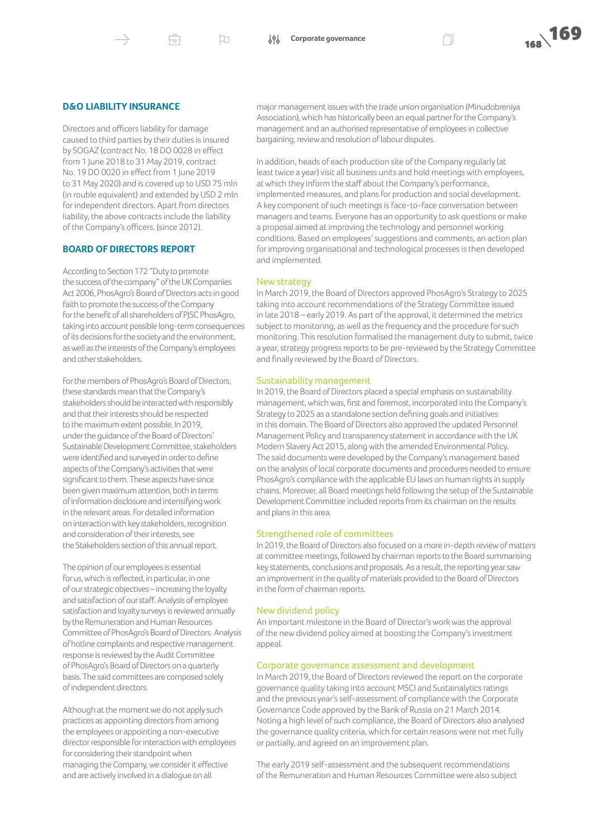Ĥ

口

#### **D&O LIABILITY INSURANCE**

Directors and officers liability for damage caused to third parties by their duties is insured by SOGAZ (contract No. 18 DO 0028 in effect from 1 June 2018 to 31 May 2019, contract No. 19 DO 0020 in effect from 1 June 2019 to 31 May 2020) and is covered up to USD 75 mln (in rouble equivalent) and extended by USD 2 mln for independent directors. Apart from directors liability, the above contracts include the liability of the Company's officers. (since 2012).

#### **BOARD OF DIRECTORS REPORT**

According to Section 172 "Duty to promote the success of the company" of the UK Companies Act 2006, PhosAgro's Board of Directors acts in good faith to promote the success of the Company for the benefit of all shareholders of PJSC PhosAgro, taking into account possible long-term consequences of its decisions for the society and the environment, as well as the interests of the Company's employees and other stakeholders.

For the members of PhosAgro's Board of Directors, these standards mean that the Company's stakeholders should be interacted with responsibly and that their interests should be respected to the maximum extent possible. In 2019, under the guidance of the Board of Directors' Sustainable Development Committee, stakeholders were identified and surveyed in order to define aspects of the Company's activities that were significant to them. These aspects have since been given maximum attention, both in terms of information disclosure and intensifying work in the relevant areas. For detailed information on interaction with key stakeholders, recognition and consideration of their interests, see the Stakeholders section of this annual report.

The opinion of our employees is essential for us, which is reflected, in particular, in one of our strategic objectives – increasing the loyalty and satisfaction of our staff. Analysis of employee satisfaction and loyalty surveys is reviewed annually by the Remuneration and Human Resources Committee of PhosAgro's Board of Directors. Analysis of hotline complaints and respective management response is reviewed by the Audit Committee of PhosAgro's Board of Directors on a quarterly basis.The said committees are composed solely of independent directors.

Although at the moment we do not apply such practices as appointing directors from among the employees or appointing a non-executive director responsible for interaction with employees for considering their standpoint when managing the Company, we consider it effective and are actively involved in a dialogue on all

major management issues with the trade union organisation (Minudobreniya Association), which has historically been an equal partner for the Company's management and an authorised representative of employees in collective bargaining, review and resolution of labour disputes.

In addition, heads of each production site of the Company regularly (at least twice a year) visit all business units and hold meetings with employees, at which they inform the staff about the Company's performance, implemented measures, and plans for production and social development. A key component of such meetings is face-to-face conversation between managers and teams. Everyone has an opportunity to ask questions or make a proposal aimed at improving the technology and personnel working conditions. Based on employees' suggestions and comments, an action plan for improving organisational and technological processes is then developed and implemented.

#### New strategy

In March 2019, the Board of Directors approved PhosAgro's Strategy to 2025 taking into account recommendations of the Strategy Committee issued in late 2018 – early 2019. As part of the approval, it determined the metrics subject to monitoring, as well as the frequency and the procedure for such monitoring. This resolution formalised the management duty to submit, twice a year, strategy progress reports to be pre-reviewed by the Strategy Committee and finally reviewed by the Board of Directors.

#### Sustainability management

In 2019, the Board of Directors placed a special emphasis on sustainability management, which was, first and foremost, incorporated into the Company's Strategy to 2025 as a standalone section defining goals and initiatives in this domain. The Board of Directors also approved the updated Personnel Management Policy and transparency statement in accordance with the UK Modern Slavery Act 2015, along with the amended Environmental Policy. The said documents were developed by the Company's management based on the analysis of local corporate documents and procedures needed to ensure PhosAgro's compliance with the applicable EU laws on human rights in supply chains. Moreover, all Board meetings held following the setup of the Sustainable Development Committee included reports from its chairman on the results and plans in this area.

#### Strengthened role of committees

In 2019, the Board of Directors also focused on a more in-depth review of matters at committee meetings, followed by chairman reports to the Board summarising key statements, conclusions and proposals.As a result, the reporting year saw an improvement in the quality of materials provided to the Board of Directors in the form of chairman reports.

#### New dividend policy

An important milestone in the Board of Director's work was the approval of the new dividend policy aimed at boosting the Company's investment appeal.

#### Corporate governance assessment and development

In March 2019, the Board of Directors reviewed the report on the corporate governance quality taking into account MSCI and Sustainalytics ratings and the previous year's self-assessment of compliance with the Corporate Governance Code approved by the Bank of Russia on 21 March 2014. Noting a high level of such compliance, the Board of Directors also analysed the governance quality criteria, which for certain reasons were not met fully or partially, and agreed on an improvement plan.

The early 2019 self-assessment and the subsequent recommendations of the Remuneration and Human Resources Committee were also subject